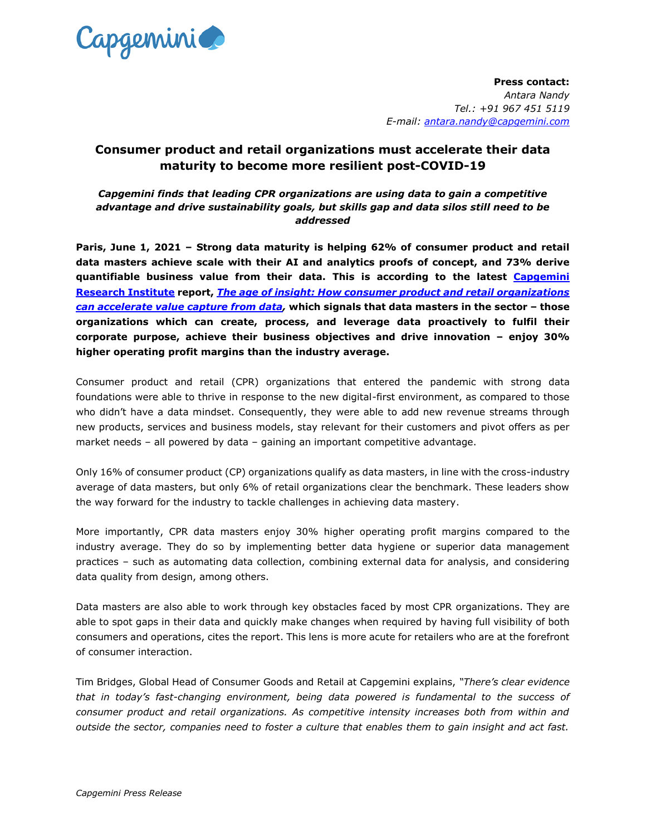

**Press contact:** *Antara Nandy Tel.: +91 967 451 5119 E-mail: [antara.nandy@capgemini.com](mailto:antara.nandy@capgemini.com)*

# **Consumer product and retail organizations must accelerate their data maturity to become more resilient post-COVID-19**

*Capgemini finds that leading CPR organizations are using data to gain a competitive advantage and drive sustainability goals, but skills gap and data silos still need to be addressed*

**Paris, June 1, 2021 – Strong data maturity is helping 62% of consumer product and retail data masters achieve scale with their AI and analytics proofs of concept, and 73% derive quantifiable business value from their data. This is according to the latest [Capgemini](http://www.capgemini.com/research-institute)  [Research Institute](http://www.capgemini.com/research-institute) report,** *[The age of insight: How consumer product and retail organizations](https://www.capgemini.com/research/the-age-of-insight)  [can accelerate value capture from data,](https://www.capgemini.com/research/the-age-of-insight)* **which signals that data masters in the sector – those organizations which can create, process, and leverage data proactively to fulfil their corporate purpose, achieve their business objectives and drive innovation – enjoy 30% higher operating profit margins than the industry average.** 

Consumer product and retail (CPR) organizations that entered the pandemic with strong data foundations were able to thrive in response to the new digital-first environment, as compared to those who didn't have a data mindset. Consequently, they were able to add new revenue streams through new products, services and business models, stay relevant for their customers and pivot offers as per market needs – all powered by data – gaining an important competitive advantage.

Only 16% of consumer product (CP) organizations qualify as data masters, in line with the cross-industry average of data masters, but only 6% of retail organizations clear the benchmark. These leaders show the way forward for the industry to tackle challenges in achieving data mastery.

More importantly, CPR data masters enjoy 30% higher operating profit margins compared to the industry average. They do so by implementing better data hygiene or superior data management practices – such as automating data collection, combining external data for analysis, and considering data quality from design, among others.

Data masters are also able to work through key obstacles faced by most CPR organizations. They are able to spot gaps in their data and quickly make changes when required by having full visibility of both consumers and operations, cites the report. This lens is more acute for retailers who are at the forefront of consumer interaction.

Tim Bridges, Global Head of Consumer Goods and Retail at Capgemini explains, *"There's clear evidence that in today's fast-changing environment, being data powered is fundamental to the success of consumer product and retail organizations. As competitive intensity increases both from within and outside the sector, companies need to foster a culture that enables them to gain insight and act fast.*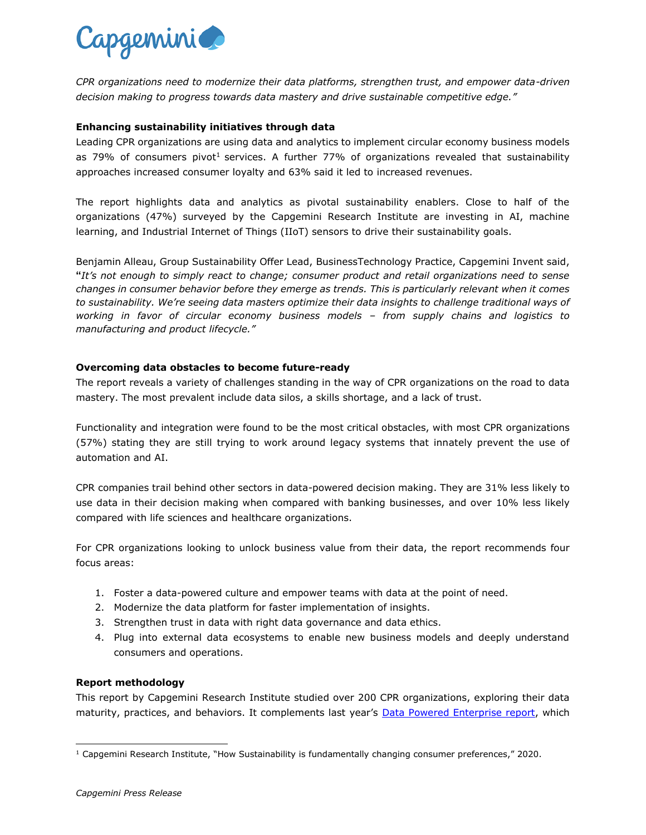

*CPR organizations need to modernize their data platforms, strengthen trust, and empower data-driven decision making to progress towards data mastery and drive sustainable competitive edge."*

# **Enhancing sustainability initiatives through data**

Leading CPR organizations are using data and analytics to implement circular economy business models as 79% of consumers pivot<sup>1</sup> services. A further 77% of organizations revealed that sustainability approaches increased consumer loyalty and 63% said it led to increased revenues.

The report highlights data and analytics as pivotal sustainability enablers. Close to half of the organizations (47%) surveyed by the Capgemini Research Institute are investing in AI, machine learning, and Industrial Internet of Things (IIoT) sensors to drive their sustainability goals.

Benjamin Alleau, Group Sustainability Offer Lead, BusinessTechnology Practice, Capgemini Invent said, **"***It's not enough to simply react to change; consumer product and retail organizations need to sense changes in consumer behavior before they emerge as trends. This is particularly relevant when it comes to sustainability. We're seeing data masters optimize their data insights to challenge traditional ways of working in favor of circular economy business models – from supply chains and logistics to manufacturing and product lifecycle."*

## **Overcoming data obstacles to become future-ready**

The report reveals a variety of challenges standing in the way of CPR organizations on the road to data mastery. The most prevalent include data silos, a skills shortage, and a lack of trust.

Functionality and integration were found to be the most critical obstacles, with most CPR organizations (57%) stating they are still trying to work around legacy systems that innately prevent the use of automation and AI.

CPR companies trail behind other sectors in data-powered decision making. They are 31% less likely to use data in their decision making when compared with banking businesses, and over 10% less likely compared with life sciences and healthcare organizations.

For CPR organizations looking to unlock business value from their data, the report recommends four focus areas:

- 1. Foster a data-powered culture and empower teams with data at the point of need.
- 2. Modernize the data platform for faster implementation of insights.
- 3. Strengthen trust in data with right data governance and data ethics.
- 4. Plug into external data ecosystems to enable new business models and deeply understand consumers and operations.

#### **Report methodology**

This report by Capgemini Research Institute studied over 200 CPR organizations, exploring their data maturity, practices, and behaviors. It complements last year's [Data Powered Enterprise report,](https://www.capgemini.com/news/report-data-powered-enterprises/) which

l

 $1$  Capgemini Research Institute, "How Sustainability is fundamentally changing consumer preferences," 2020.